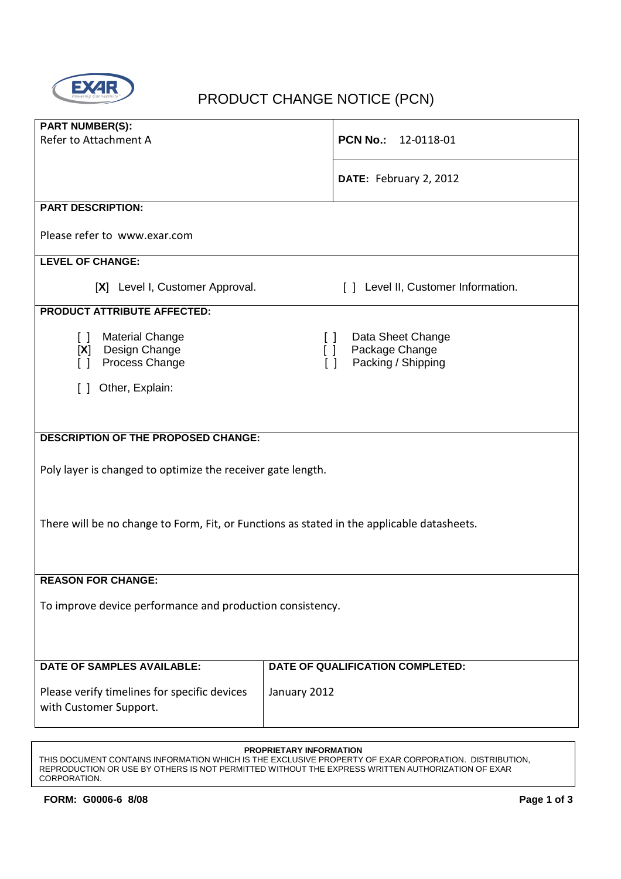

# **EXAR PRODUCT CHANGE NOTICE (PCN)**

| <b>PART NUMBER(S):</b>                                                                                                           |                                                                                         |  |
|----------------------------------------------------------------------------------------------------------------------------------|-----------------------------------------------------------------------------------------|--|
| Refer to Attachment A                                                                                                            | <b>PCN No.:</b><br>12-0118-01                                                           |  |
|                                                                                                                                  | DATE: February 2, 2012                                                                  |  |
| <b>PART DESCRIPTION:</b>                                                                                                         |                                                                                         |  |
| Please refer to www.exar.com                                                                                                     |                                                                                         |  |
| <b>LEVEL OF CHANGE:</b>                                                                                                          |                                                                                         |  |
| [X] Level I, Customer Approval.                                                                                                  | [ ] Level II, Customer Information.                                                     |  |
| <b>PRODUCT ATTRIBUTE AFFECTED:</b>                                                                                               |                                                                                         |  |
| <b>Material Change</b><br>$\begin{smallmatrix} \end{smallmatrix}$<br>Design Change<br>[X]<br>Process Change<br>$\lceil$ $\rceil$ | Data Sheet Change<br>$\Box$<br>Package Change<br>$\Box$<br>Packing / Shipping<br>$\Box$ |  |
| Other, Explain:                                                                                                                  |                                                                                         |  |
|                                                                                                                                  |                                                                                         |  |
|                                                                                                                                  |                                                                                         |  |
| <b>DESCRIPTION OF THE PROPOSED CHANGE:</b>                                                                                       |                                                                                         |  |
| Poly layer is changed to optimize the receiver gate length.                                                                      |                                                                                         |  |
| There will be no change to Form, Fit, or Functions as stated in the applicable datasheets.                                       |                                                                                         |  |
| <b>REASON FOR CHANGE:</b>                                                                                                        |                                                                                         |  |
| To improve device performance and production consistency.                                                                        |                                                                                         |  |
|                                                                                                                                  |                                                                                         |  |
| <b>DATE OF SAMPLES AVAILABLE:</b>                                                                                                | DATE OF QUALIFICATION COMPLETED:                                                        |  |
| Please verify timelines for specific devices<br>with Customer Support.                                                           | January 2012                                                                            |  |
|                                                                                                                                  |                                                                                         |  |

#### **PROPRIETARY INFORMATION**

THIS DOCUMENT CONTAINS INFORMATION WHICH IS THE EXCLUSIVE PROPERTY OF EXAR CORPORATION. DISTRIBUTION, REPRODUCTION OR USE BY OTHERS IS NOT PERMITTED WITHOUT THE EXPRESS WRITTEN AUTHORIZATION OF EXAR CORPORATION.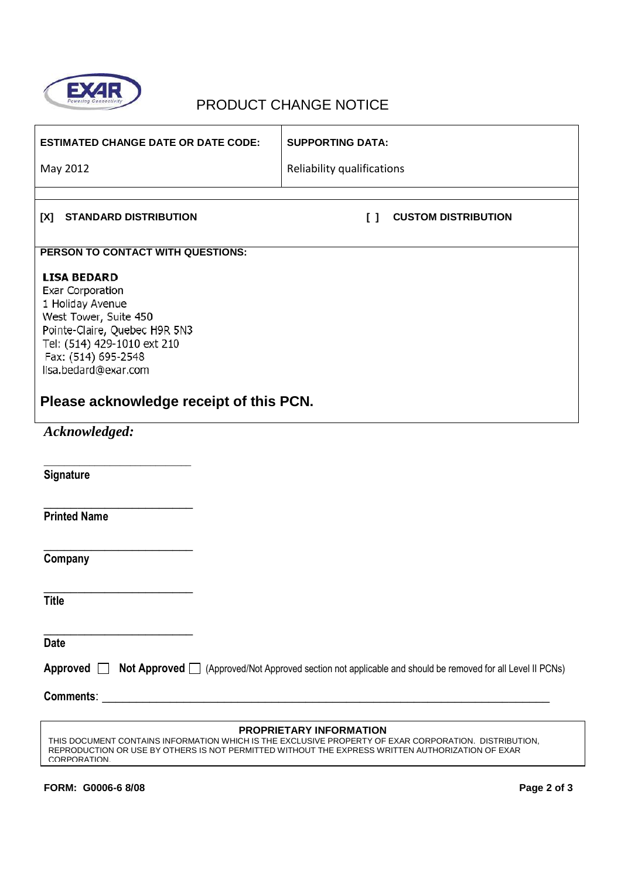

## PRODUCT CHANGE NOTICE

| <b>ESTIMATED CHANGE DATE OR DATE CODE:</b>                                                                                                                                                                                                    | <b>SUPPORTING DATA:</b>              |  |
|-----------------------------------------------------------------------------------------------------------------------------------------------------------------------------------------------------------------------------------------------|--------------------------------------|--|
| May 2012                                                                                                                                                                                                                                      | Reliability qualifications           |  |
|                                                                                                                                                                                                                                               |                                      |  |
| <b>STANDARD DISTRIBUTION</b><br>[X]                                                                                                                                                                                                           | <b>CUSTOM DISTRIBUTION</b><br>$\Box$ |  |
| <b>PERSON TO CONTACT WITH QUESTIONS:</b>                                                                                                                                                                                                      |                                      |  |
| <b>LISA BEDARD</b><br>Exar Corporation<br>1 Holiday Avenue<br>West Tower, Suite 450<br>Pointe-Claire, Quebec H9R 5N3<br>Tel: (514) 429-1010 ext 210<br>Fax: (514) 695-2548<br>lisa.bedard@exar.com<br>Please acknowledge receipt of this PCN. |                                      |  |
| Acknowledged:                                                                                                                                                                                                                                 |                                      |  |
| Signature                                                                                                                                                                                                                                     |                                      |  |
| <b>Printed Name</b>                                                                                                                                                                                                                           |                                      |  |
| Company                                                                                                                                                                                                                                       |                                      |  |
| <b>Title</b>                                                                                                                                                                                                                                  |                                      |  |
| <b>Date</b>                                                                                                                                                                                                                                   |                                      |  |
| Approved $\Box$<br>Not Approved □ (Approved/Not Approved section not applicable and should be removed for all Level II PCNs)                                                                                                                  |                                      |  |
| <b>Comments:</b> Comments:                                                                                                                                                                                                                    |                                      |  |
| PROPRIETARY INFORMATION                                                                                                                                                                                                                       |                                      |  |
| THIS DOCUMENT CONTAINS INFORMATION WHICH IS THE EXCLUSIVE PROPERTY OF EXAR CORPORATION. DISTRIBUTION,<br>REPRODUCTION OR USE BY OTHERS IS NOT PERMITTED WITHOUT THE EXPRESS WRITTEN AUTHORIZATION OF EXAR<br><b>CORPORATION</b>               |                                      |  |